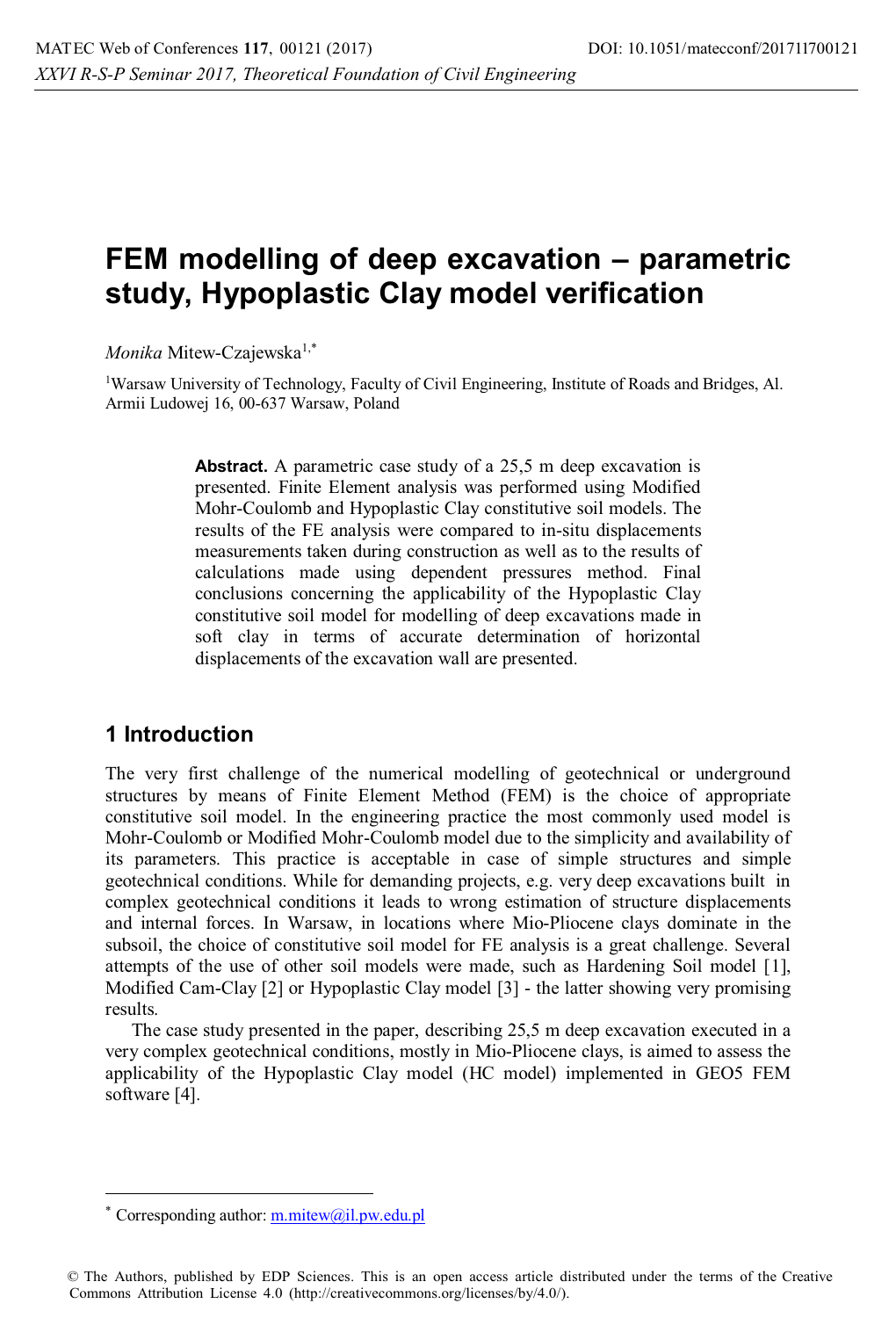# **FEM modelling of deep excavation – parametric study, Hypoplastic Clay model verification**

*Monika* Mitew-Czajewska<sup>1,\*</sup>

1 Warsaw University of Technology, Faculty of Civil Engineering, Institute of Roads and Bridges, Al. Armii Ludowej 16, 00-637 Warsaw, Poland

> Abstract. A parametric case study of a 25,5 m deep excavation is presented. Finite Element analysis was performed using Modified Mohr-Coulomb and Hypoplastic Clay constitutive soil models. The results of the FE analysis were compared to in-situ displacements measurements taken during construction as well as to the results of calculations made using dependent pressures method. Final conclusions concerning the applicability of the Hypoplastic Clay constitutive soil model for modelling of deep excavations made in soft clay in terms of accurate determination of horizontal displacements of the excavation wall are presented.

# **1 Introduction**

The very first challenge of the numerical modelling of geotechnical or underground structures by means of Finite Element Method (FEM) is the choice of appropriate constitutive soil model. In the engineering practice the most commonly used model is Mohr-Coulomb or Modified Mohr-Coulomb model due to the simplicity and availability of its parameters. This practice is acceptable in case of simple structures and simple geotechnical conditions. While for demanding projects, e.g. very deep excavations built in complex geotechnical conditions it leads to wrong estimation of structure displacements and internal forces. In Warsaw, in locations where Mio-Pliocene clays dominate in the subsoil, the choice of constitutive soil model for FE analysis is a great challenge. Several attempts of the use of other soil models were made, such as Hardening Soil model [1], Modified Cam-Clay [2] or Hypoplastic Clay model [3] - the latter showing very promising results.

The case study presented in the paper, describing 25,5 m deep excavation executed in a very complex geotechnical conditions, mostly in Mio-Pliocene clays, is aimed to assess the applicability of the Hypoplastic Clay model (HC model) implemented in GEO5 FEM software [4].

 $\overline{a}$ 

Corresponding author:  $m.mitew@il.pyw.edu.pl$ 

<sup>©</sup> The Authors, published by EDP Sciences. This is an open access article distributed under the terms of the Creative Commons Attribution License 4.0 (http://creativecommons.org/licenses/by/4.0/).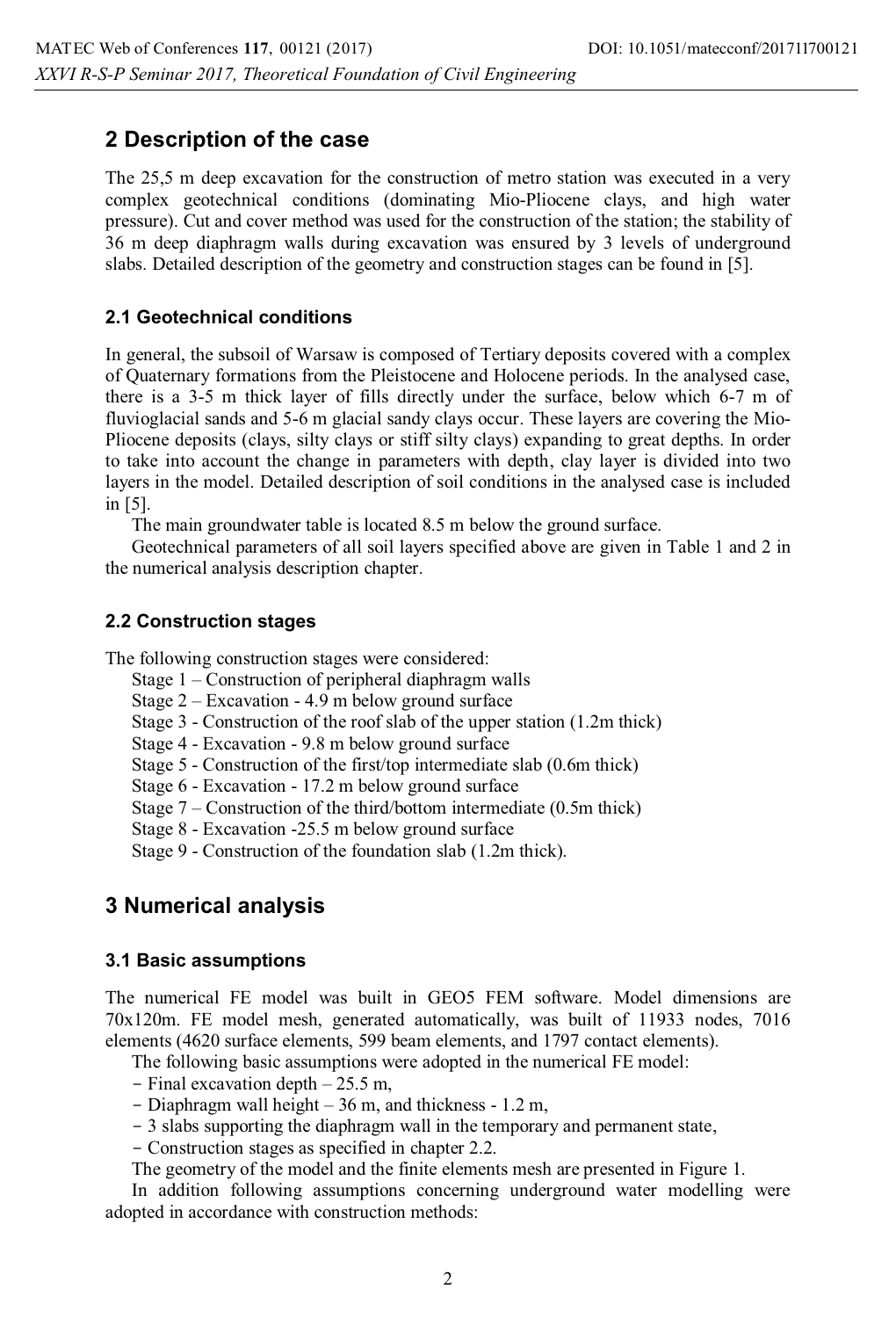# **2 Description of the case**

The 25,5 m deep excavation for the construction of metro station was executed in a very complex geotechnical conditions (dominating Mio-Pliocene clays, and high water pressure). Cut and cover method was used for the construction of the station; the stability of 36 m deep diaphragm walls during excavation was ensured by 3 levels of underground slabs. Detailed description of the geometry and construction stages can be found in [5].

#### **2.1 Geotechnical conditions**

In general, the subsoil of Warsaw is composed of Tertiary deposits covered with a complex of Quaternary formations from the Pleistocene and Holocene periods. In the analysed case, there is a 3-5 m thick layer of fills directly under the surface, below which 6-7 m of fluvioglacial sands and 5-6 m glacial sandy clays occur. These layers are covering the Mio-Pliocene deposits (clays, silty clays or stiff silty clays) expanding to great depths. In order to take into account the change in parameters with depth, clay layer is divided into two layers in the model. Detailed description of soil conditions in the analysed case is included in [5].

The main groundwater table is located 8.5 m below the ground surface.

Geotechnical parameters of all soil layers specified above are given in Table 1 and 2 in the numerical analysis description chapter.

#### **2.2 Construction stages**

The following construction stages were considered:

- Stage 1 Construction of peripheral diaphragm walls
- Stage 2 Excavation 4.9 m below ground surface
- Stage 3 Construction of the roof slab of the upper station (1.2m thick)
- Stage 4 Excavation 9.8 m below ground surface
- Stage 5 Construction of the first/top intermediate slab (0.6m thick)
- Stage 6 Excavation 17.2 m below ground surface
- Stage 7 Construction of the third/bottom intermediate (0.5m thick)
- Stage 8 Excavation -25.5 m below ground surface

Stage 9 - Construction of the foundation slab (1.2m thick).

# **3 Numerical analysis**

#### **3.1 Basic assumptions**

The numerical FE model was built in GEO5 FEM software. Model dimensions are 70x120m. FE model mesh, generated automatically, was built of 11933 nodes, 7016 elements (4620 surface elements, 599 beam elements, and 1797 contact elements).

The following basic assumptions were adopted in the numerical FE model:

- $-$  Final excavation depth  $-25.5$  m,
- Diaphragm wall height 36 m, and thickness 1.2 m,
- 3 slabs supporting the diaphragm wall in the temporary and permanent state,
- Construction stages as specified in chapter 2.2.

The geometry of the model and the finite elements mesh are presented in Figure 1.

In addition following assumptions concerning underground water modelling were adopted in accordance with construction methods: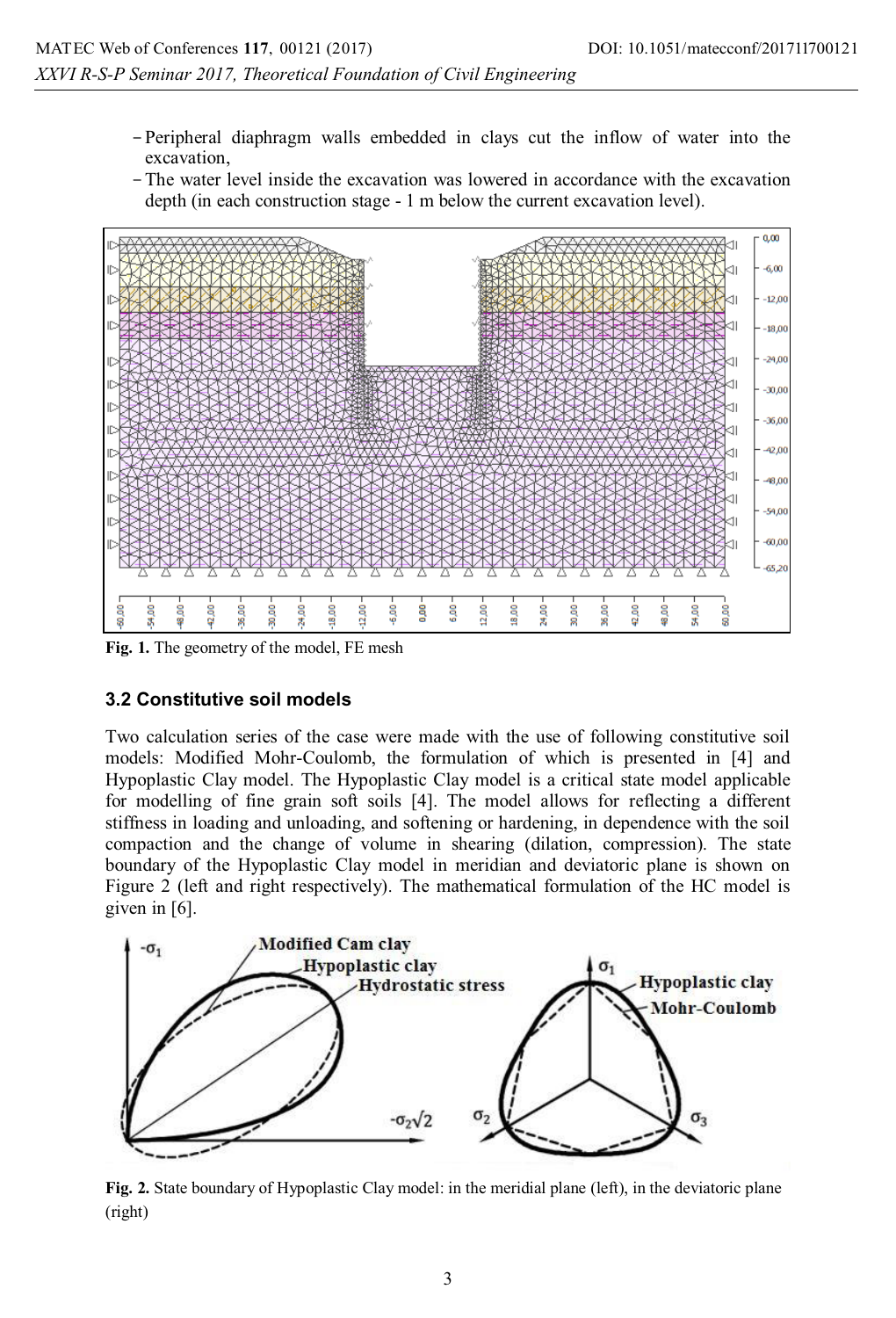- -Peripheral diaphragm walls embedded in clays cut the inflow of water into the excavation,
- -The water level inside the excavation was lowered in accordance with the excavation depth (in each construction stage - 1 m below the current excavation level).



**Fig. 1.** The geometry of the model, FE mesh

#### **3.2 Constitutive soil models**

Two calculation series of the case were made with the use of following constitutive soil models: Modified Mohr-Coulomb, the formulation of which is presented in [4] and Hypoplastic Clay model. The Hypoplastic Clay model is a critical state model applicable for modelling of fine grain soft soils [4]. The model allows for reflecting a different stiffness in loading and unloading, and softening or hardening, in dependence with the soil compaction and the change of volume in shearing (dilation, compression). The state boundary of the Hypoplastic Clay model in meridian and deviatoric plane is shown on Figure 2 (left and right respectively). The mathematical formulation of the HC model is given in [6].



**Fig. 2.** State boundary of Hypoplastic Clay model: in the meridial plane (left), in the deviatoric plane (right)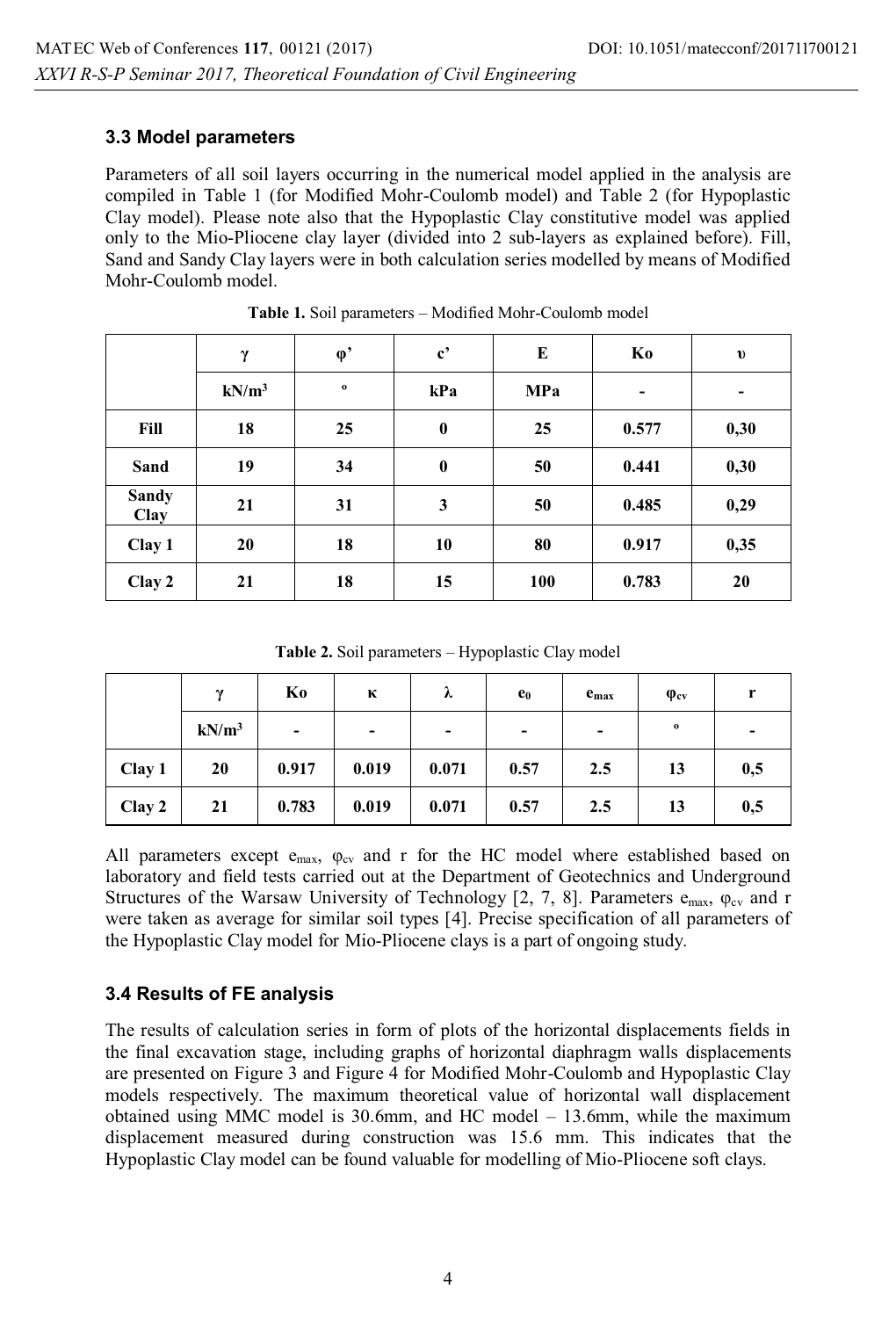#### **3.3 Model parameters**

Parameters of all soil layers occurring in the numerical model applied in the analysis are compiled in Table 1 (for Modified Mohr-Coulomb model) and Table 2 (for Hypoplastic Clay model). Please note also that the Hypoplastic Clay constitutive model was applied only to the Mio-Pliocene clay layer (divided into 2 sub-layers as explained before). Fill, Sand and Sandy Clay layers were in both calculation series modelled by means of Modified Mohr-Coulomb model.

|                      | γ        | $\varphi$   | $\mathbf{c}^{\bullet}$ | E          | Ko             | $\mathbf{v}$ |
|----------------------|----------|-------------|------------------------|------------|----------------|--------------|
|                      | $kN/m^3$ | $\mathbf 0$ | kPa                    | <b>MPa</b> | $\overline{a}$ | ۰            |
| Fill                 | 18       | 25          | $\bf{0}$               | 25         | 0.577          | 0,30         |
| Sand                 | 19       | 34          | $\bf{0}$               | 50         | 0.441          | 0,30         |
| <b>Sandy</b><br>Clay | 21       | 31          | 3                      | 50         | 0.485          | 0,29         |
| Clay 1               | 20       | 18          | 10                     | 80         | 0.917          | 0,35         |
| Clay 2               | 21       | 18          | 15                     | 100        | 0.783          | 20           |

**Table 1.** Soil parameters – Modified Mohr-Coulomb model

**Table 2.** Soil parameters – Hypoplastic Clay model

|        | $\mathbf v$ | Ko    | к                        | λ     | $e_0$ | $e_{max}$ | $\varphi_{cv}$ | r   |
|--------|-------------|-------|--------------------------|-------|-------|-----------|----------------|-----|
|        | $kN/m^3$    | ۰     | $\overline{\phantom{0}}$ | ۰     | ۰     | ۰         | $\bf o$        | ۰   |
| Clay 1 | 20          | 0.917 | 0.019                    | 0.071 | 0.57  | 2.5       | 13             | 0,5 |
| Clay 2 | 21          | 0.783 | 0.019                    | 0.071 | 0.57  | 2.5       | 13             | 0,5 |

All parameters except  $e_{\text{max}}$ ,  $\varphi_{\text{cv}}$  and r for the HC model where established based on laboratory and field tests carried out at the Department of Geotechnics and Underground Structures of the Warsaw University of Technology [2, 7, 8]. Parameters  $e_{\text{max}}$ ,  $\varphi_{\text{cv}}$  and r were taken as average for similar soil types [4]. Precise specification of all parameters of the Hypoplastic Clay model for Mio-Pliocene clays is a part of ongoing study.

# **3.4 Results of FE analysis**

The results of calculation series in form of plots of the horizontal displacements fields in the final excavation stage, including graphs of horizontal diaphragm walls displacements are presented on Figure 3 and Figure 4 for Modified Mohr-Coulomb and Hypoplastic Clay models respectively. The maximum theoretical value of horizontal wall displacement obtained using MMC model is 30.6mm, and HC model – 13.6mm, while the maximum displacement measured during construction was 15.6 mm. This indicates that the Hypoplastic Clay model can be found valuable for modelling of Mio-Pliocene soft clays.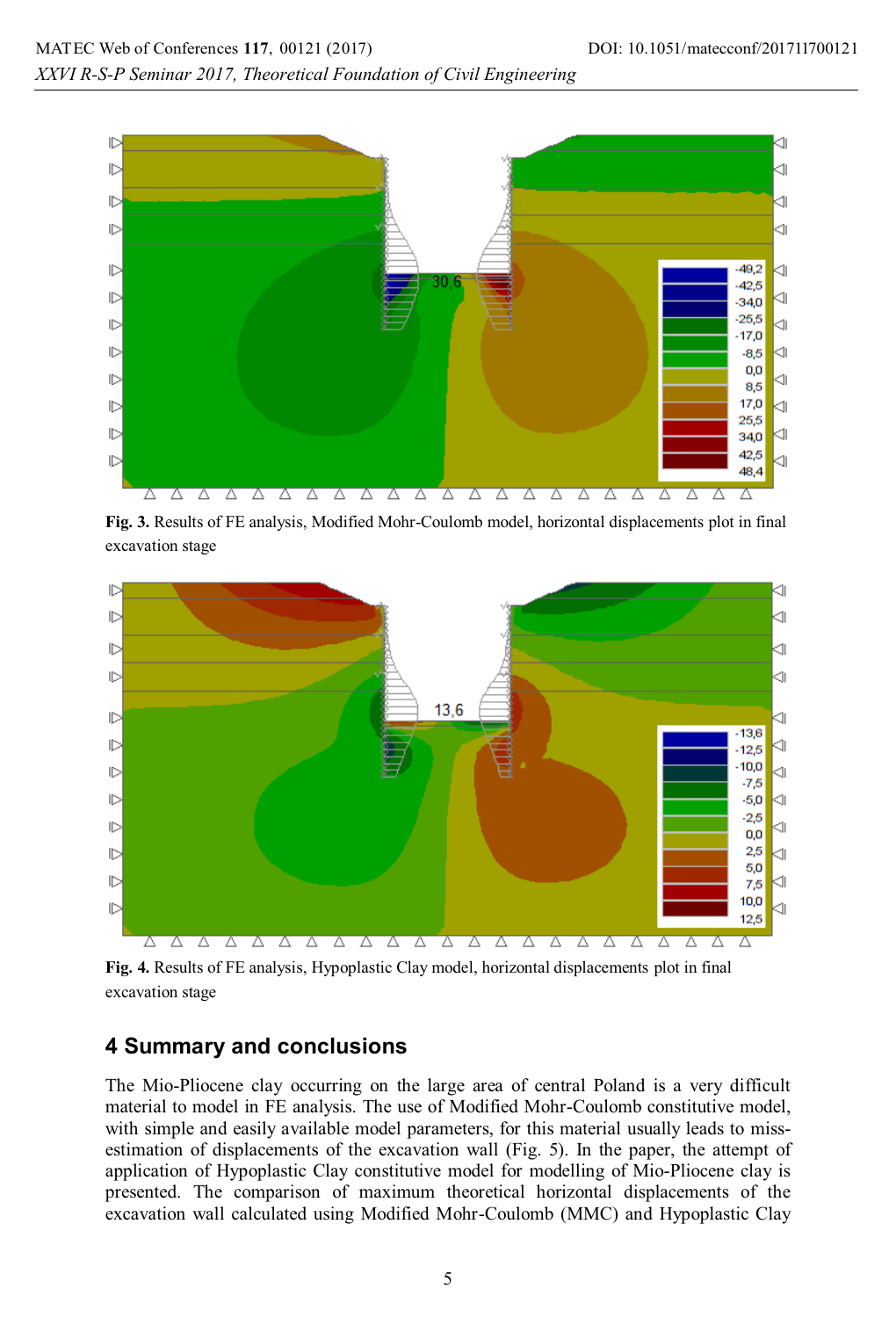

**Fig. 3.** Results of FE analysis, Modified Mohr-Coulomb model, horizontal displacements plot in final excavation stage



**Fig. 4.** Results of FE analysis, Hypoplastic Clay model, horizontal displacements plot in final excavation stage

# **4 Summary and conclusions**

The Mio-Pliocene clay occurring on the large area of central Poland is a very difficult material to model in FE analysis. The use of Modified Mohr-Coulomb constitutive model, with simple and easily available model parameters, for this material usually leads to missestimation of displacements of the excavation wall (Fig. 5). In the paper, the attempt of application of Hypoplastic Clay constitutive model for modelling of Mio-Pliocene clay is presented. The comparison of maximum theoretical horizontal displacements of the excavation wall calculated using Modified Mohr-Coulomb (MMC) and Hypoplastic Clay